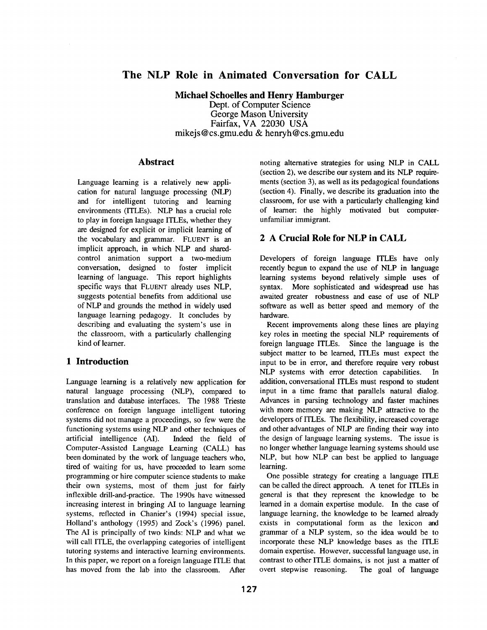# **The NLP Role in Animated Conversation for CALL**

**Michael Schoelles and Henry Hamburger**  Dept. of Computer Science George Mason University Fairfax, VA 22030 USA mikejs@cs.gmu.edu & henryh@cs.gmu.edu

#### **Abstract**

Language learning is a relatively new application for natural language processing (NLP) and for intelligent tutoring and learning environments (ITLEs). NLP has a crucial role to play in foreign language ITLEs, whether they are designed for explicit or implicit learning of the vocabulary and grammar. FLUENT is an implicit approach, in which NLP and sharedcontrol animation support a two-medium conversation, designed to foster implicit learning of language. This report highlights specific ways that FLUENT already uses NLP, suggests potential benefits from additional use of NLP and grounds the method in widely used language learning pedagogy. It concludes by describing and evaluating the system's use in the classroom, with a particularly challenging kind of learner.

### **1 Introduction**

Language learning is a relatively new application for natural language processing (NLP), compared to translation and database interfaces. The 1988 Trieste conference on foreign language intelligent tutoring systems did not manage a proceedings, so few were the functioning systems using NLP and other techniques of artificial intelligence (AI). Indeed the field of Computer-Assisted Language Learning (CALL) has been dominated by the work of language teachers who, tired of waiting for us, have proceeded to learn some programming or hire computer science students to make their own systems, most of them just for fairly inflexible drill-and-practice. The 1990s have witnessed increasing interest in bringing AI to language learning systems, reflected in Chanier's (1994) special issue, Holland's anthology (1995) and Zock's (1996) panel. The AI is principally of two kinds: NLP and what we will call ITLE, the overlapping categories of intelligent tutoring systems and interactive learning environments. In this paper, we report on a foreign language ITLE that has moved from the lab into the classroom. After

noting alternative strategies for using NLP in CALL (section 2), we describe our system and its NLP requirements (section 3), as well as its pedagogical foundations (section 4). Finally, we describe its graduation into the classroom, for use with a particularly challenging kind of learner: the highly motivated but computerunfamiliar immigrant.

# **2 A Crucial Role for NLP in CALL**

Developers of foreign language ITLEs have only recently begun to expand the use of NLP in language learning systems beyond relatively simple uses of syntax. More sophisticated and widespread use has awaited greater robustness and ease of use of NLP software as well as better speed and memory of the hardware.

Recent improvements along these lines are playing key roles in meeting the special NLP requirements of foreign language ITLEs. Since the language is the subject matter to be learned, ITLEs must expect the input to be in error, and therefore require very robust NLP systems with error detection capabilities. In addition, conversational ITLEs must respond to student input in a time frame that parallels natural dialog. Advances in parsing technology and faster machines with more memory are making NLP attractive to the developers of ITLEs. The flexibility, increased coverage and other advantages of NLP are finding their way into the design of language learning systems. The issue is no longer whether language learning systems should use NLP, but how NLP can best be applied to language learning.

One possible strategy for creating a language ITLE can be called the direct approach. A tenet for ITLEs in general is that they represent the knowledge to be learned in a domain expertise module. In the case of language learning, the knowledge to be learned already exists in computational form as the lexicon and grammar of a NLP system, so the idea would be to incorporate these NLP knowledge bases as the ITLE domain expertise. However, successful language use, in contrast to other ITLE domains, is not just a matter of overt stepwise reasoning. The goal of language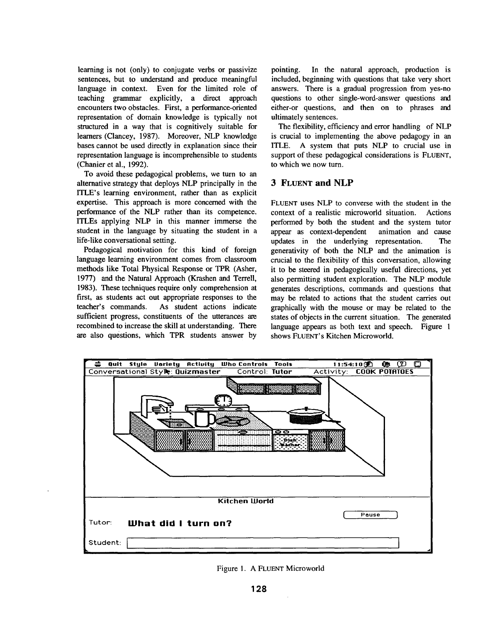learning is not (only) to conjugate verbs or passivize sentences, but to understand and produce meaningful language in context. Even for the limited role of teaching grammar explicitly, a direct approach encounters two obstacles. First, a performance-oriented representation of domain knowledge is typically not structured in a way that is cognitively suitable for learners (Clancey, 1987). Moreover, NLP knowledge bases cannot be used directly in explanation since their representation language is incomprehensible to students (Chanier et al., 1992).

To avoid these pedagogical problems, we turn to an alternative strategy that deploys NLP principally in the ITLE's learning environment, rather than as explicit expertise. This approach is more concerned with the performance of the NLP rather than its competence, ITLEs applying NLP in this manner immerse the student in the language by situating the student in a life-like conversational setting.

Pedagogical motivation for this kind of foreign language learning environment comes from classroom methods like Total Physical Response or TPR (Asher, 1977) and the Natural Approach (Krashen and Terrell, 1983). These techniques require only comprehension at first, as students act out appropriate responses to the teacher's commands. As student actions indicate sufficient progress, constituents of the utterances are recombined to increase the skill at understanding. There are also questions, which TPR students answer by

pointing. In the natural approach, production is included, beginning with questions that take very short answers. There is a gradual progression from yes-no questions to other single-word-answer questions and either-or questions, and then on to phrases and ultimately sentences.

The flexibility, efficiency and error handling of NLP is crucial to implementing the above pedagogy in an ITLE. A system that puts NLP to crucial use in support of these pedagogical considerations is FLUENT, to which we now turn.

#### **3 FLUENT and NLP**

FLUENT uses NLP to converse with the student in the context of a realistic microworld situation. Actions performed by both the student and the system tutor appear as context-dependent animation and cause updates in the underlying representation. The generativity of both the NLP and the animation is crucial to the flexibility of this conversation, allowing it to be steered in pedagogically useful directions, yet also permitting student exploration. The NLP module generates descriptions, commands and questions that may be related to actions that the student carries out graphically with the mouse or may be related to the states of objects in the current situation. The generated language appears as both text and speech. Figure 1 shows FLUENT's Kitchen Microworld.



Figure 1. A FLUENT Microworld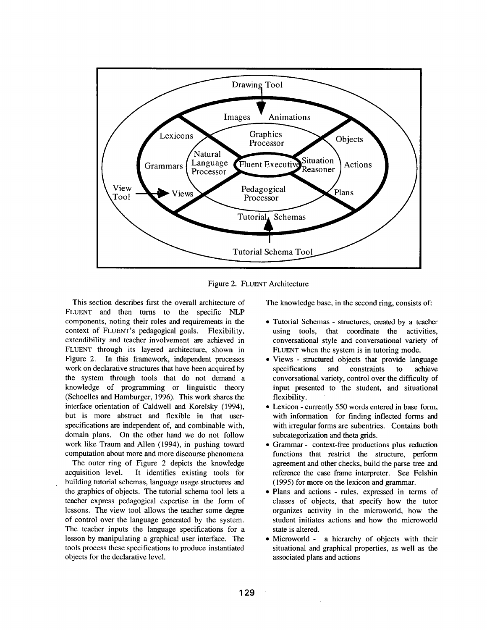

Figure 2. FLUENT Architecture

This section describes first the overall architecture of FLUENT and then turns to the specific NLP components, noting their roles and requirements in the context of FLUENT'S pedagogical goals. Flexibility, extendibility and teacher involvement are achieved in FLUENT through its layered architecture, shown in Figure 2. In this framework, independent processes work on declarative structures that have been acquired by the system through tools that do not demand a knowledge of programming or linguistic theory (Schoelles and Hamburger, 1996). This work shares the interface orientation of Caldwell and Korelsky (1994), but is more abstract and flexible in that userspecifications are independent of, and combinable with, domain plans. On the other hand we do not follow work like Traum and Allen (1994), in pushing toward computation about more and more discourse phenomena

The outer ring of Figure 2 depicts the knowledge acquisition level. It identifies existing tools for building tutorial schemas, language usage structures and the graphics of objects. The tutorial schema tool lets a teacher express pedagogical expertise in the form of lessons. The view tool allows the teacher some degree of control over the language generated by the system. The teacher inputs the language specifications for a lesson by manipulating a graphical user interface. The tools process these specifications to produce instantiated objects for the declarative level.

The knowledge base, in the second ring, consists of:

- Tutorial Schemas structures, created by a teacher using tools, that coordinate the activities, conversational style and conversational variety of FLUENT when the system is in tutoring mode.
- Views structured objects that provide language specifications and constraints to achieve conversational variety, control over the difficulty of input presented to the student, and situational flexibility.
- Lexicon currently 550 words entered in base form, with information for finding inflected forms and with irregular forms are subentries. Contains both subcategorization and theta grids.
- Grammar- context-free productions plus reduction functions that restrict the structure, perform agreement and other checks, build the parse tree and reference the case frame interpreter. See Felshin (1995) for more on the lexicon and grammar.
- Plans and actions rules, expressed in terms of classes of objects, that specify how the tutor organizes activity in the microworld, how the student initiates actions and how the microworld state is altered.
- Microworld a hierarchy of objects with their situational and graphical properties, as well as the associated plans and actions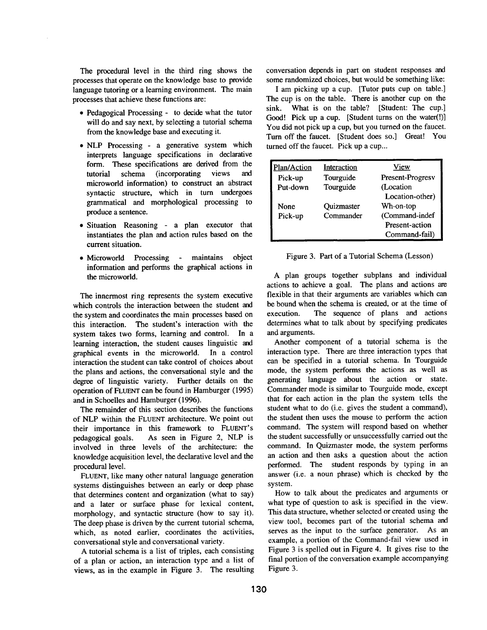The procedural level in the third ring shows the processes that operate on the knowledge base to provide language tutoring or a learning environment. The main processes that achieve these functions are:

- Pedagogical Processing to decide what the tutor will do and say next, by selecting a tutorial schema from the knowledge base and executing it.
- NLP Processing a generative system which interprets language specifications in declarative form. These specifications are derived from the tutorial schema (incorporating views and microworld information) to construct an abstract syntactic structure, which in turn undergoes grammatical and morphological processing to produce a sentence.
- Situation Reasoning a plan executor that instantiates the plan and action rules based on the current situation.
- Microworld Processing maintains object information and performs the graphical actions in the microworld.

The innermost ring represents the system executive which controls the interaction between the student and the system and coordinates the main processes based on this interaction. The student's interaction with the system takes two forms, learning and control. In a learning interaction, the student causes linguistic and graphical events in the microworld. In a control interaction the student can take control of choices about the plans and actions, the conversational style and the degree of linguistic variety. Further details on the operation of FLUENT can be found in Hamburger (1995) and in Schoelles and Hamburger (1996).

The remainder of this section describes the functions of NLP within the FLUENT architecture. We point out their importance in this framework to FLUENT'S pedagogical goals. As seen in Figure 2, NLP is involved in three levels of the architecture: the knowledge acquisition level, the declarative level and the procedural level.

FLUENT, like many other natural language generation systems distinguishes between an early or deep phase that determines content and organization (what to say) and a later or surface phase for lexical content, morphology, and syntactic structure (how to say it). The deep phase is driven by the current tutorial schema, which, as noted earlier, coordinates the activities, conversational style and conversational variety.

A tutorial schema is a list of triples, each consisting of a plan or action, an interaction type and a list of views, as in the example in Figure 3. The resulting conversation depends in part on student responses and some randomized choices, but would be something like:

I am picking up a cup. [Tutor puts cup on table.] The cup is on the table. There is another cup on the sink. What is on the table? [Student: The cup.] Good! Pick up a cup. [Student turns on the water(!)] You did not pick up a cup, but you turned on the faucet. Turn off the faucet. [Student does so.] Great! You turned off the faucet. Pick up a cup...

| <b>Plan/Action</b> | Interaction | View             |
|--------------------|-------------|------------------|
| Pick-up            | Tourguide   | Present-Progresv |
| Put-down           | Tourguide   | (Location        |
|                    |             | Location-other)  |
| None               | Quizmaster  | Wh-on-top        |
| Pick-up            | Commander   | (Command-indef   |
|                    |             | Present-action   |
|                    |             | Command-fail)    |

Figure 3. Part of a Tutorial Schema (Lesson)

A plan groups together subplans and individual actions to achieve a goal. The plans and actions are flexible in that their arguments are variables which can be bound when the schema is created, or at the time of execution. The sequence of plans and actions determines what to talk about by specifying predicates and arguments.

Another component of a tutorial schema is the interaction type. There are three interaction types that can be specified in a tutorial schema. In Tourguide mode, the system performs the actions as well as generating language about the action or state. Commander mode is similar to Tourguide mode, except that for each action in the plan the system tells the student what to do (i.e. gives the student a command), the student then uses the mouse to perform the action command. The system will respond based on whether the student successfully or unsuccessfully carried out the command. In Quizmaster mode, the system performs an action and then asks a question about the action performed. The student responds by typing in an answer (i.e. a noun phrase) which is checked by the system.

How to talk about the predicates and arguments or what type of question to ask is specified in the view. This data structure, whether selected or created using the view tool, becomes part of the tutorial schema and serves as the input to the surface generator. As an example, a portion of the Command-fail view used in Figure 3 is spelled out in Figure 4. It gives rise to the final portion of the conversation example accompanying Figure 3.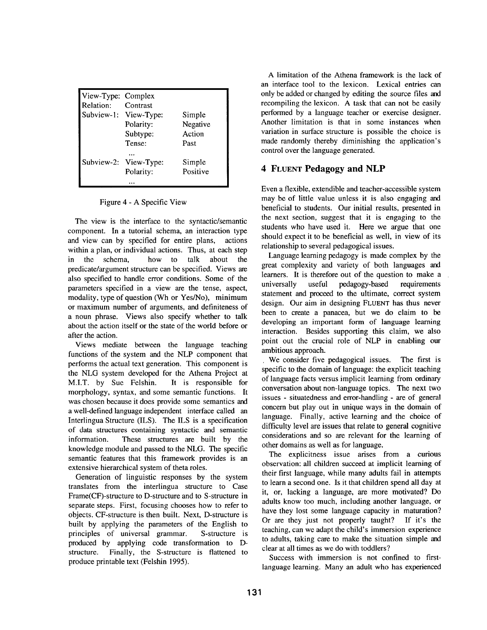| View-Type: Complex    |                       |          |
|-----------------------|-----------------------|----------|
| Relation:             | Contrast              |          |
| Subview-1: View-Type: |                       | Simple   |
|                       | Polarity:             | Negative |
|                       | Subtype:              | Action   |
|                       | Tense:                | Past     |
|                       |                       |          |
|                       | Subview-2: View-Type: | Simple   |
|                       | Polarity:             | Positive |
|                       |                       |          |

Figure 4 - A Specific View

The view is the interface to the syntactic/semantic component. In a tutorial schema, an interaction type and view can by specified for entire plans, actions within a plan, or individual actions. Thus, at each step in the schema, how to talk about the predicate/argument structure can be specified. Views are also specified to handle error conditions. Some of the parameters specified in a view are the tense, aspect, modality, type of question (Wh or Yes/No), minimum or maximum number of arguments, and definiteness of a noun phrase. Views also specify whether to talk about the action itself or the state of the world before or after the action.

Views mediate between the language teaching functions of the system and the NLP component that performs the actual text generation. This component is the NLG system developed for the Athena Project at M.I.T. by Sue Felshin. It is responsible for morphology, syntax, and some semantic functions. It was chosen because it does provide some semantics and a well-defined language independent interface called an Interlingua Structure (ILS). The ILS is a specification of data structures containing syntactic and semantic information. These structures are built by the knowledge module and passed to the NLG. The specific semantic features that this framework provides is an extensive hierarchical system of theta roles.

Generation of linguistic responses by the system translates from the interlingua structure to Case Frame(CF)-structure to D-structure and to S-structure in separate steps. First, focusing chooses how to refer to objects. CF-structure is then built. Next, D-structure is built by applying the parameters of the English to principles of universal grammar. S-structure is produced by applying code transformation to Dstructure. Finally, the S-structure is flattened to produce printable text (Felshin 1995).

A limitation of the Athena framework is the lack of an interface tool to the lexicon. Lexical entries can only be added or changed by editing the source files and recompiling the lexicon. A task that can not be easily performed by a language teacher or exercise designer. Another limitation is that in some instances when variation in surface structure is possible the choice is made randomly thereby diminishing the application's control over the language generated.

# **4 FLUENT Pedagogy and NLP**

Even a flexible, extendible and teacher-accessible system may be of little value unless it is also engaging and beneficial to students. Our initial results, presented in the next section, suggest that it is engaging to the students who have used it. Here we argue that one should expect it to be beneficial as well, in view of its relationship to several pedagogical issues.

Language learning pedagogy is made complex by the great complexity and variety of both languages and learners. It is therefore out of the question to make a universally useful pedagogy-based requirements statement and proceed to the ultimate, correct system design. Our aim in designing FLUENT has thus never been to create a panacea, but we do claim to be developing an important form of language learning interaction. Besides supporting this claim, we also point out the crucial role of NLP in enabling our ambitious approach.

We consider five pedagogical issues. The first is specific to the domain of language: the explicit teaching of language facts versus implicit learning from ordinary conversation about non-language topics. The next two issues - situatedness and error-handling - are of general concern but play out in unique ways in the domain of language. Finally, active learning and the choice of difficulty level are issues that relate to general cognitive considerations and so are relevant for the learning of other domains as well as for language.

The explicitness issue arises from a curious observation: all children succeed at implicit learning of their first language, while many adults fail in attempts to learn a second one. Is it that children spend all day at it, or, lacking a language, are more motivated? Do adults know too much, including another language, or have they lost some language capacity in maturation? Or are they just not properly taught? If it's the teaching, can we adapt the child's immersion experience to adults, taking care to make the situation simple and clear at all times as we do with toddlers?

Success with immersion is not confined to firstlanguage learning. Many an adult who has experienced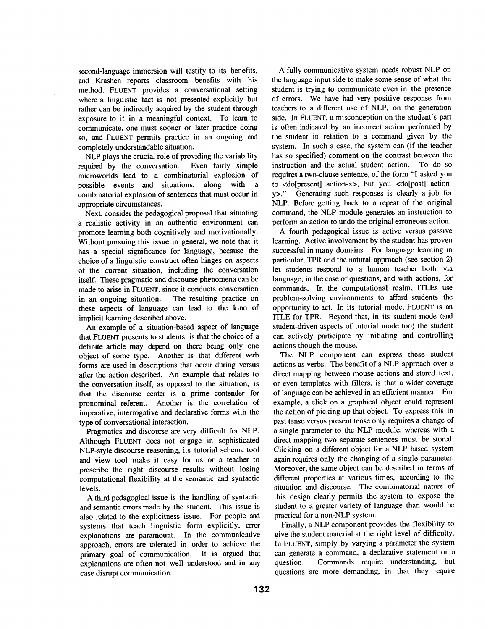second-language immersion will testify to its benefits, and Krashen reports classroom benefits with his method. FLUENT provides a conversational setting where a linguistic fact is not presented explicitly but rather can be indirectly acquired by the student through exposure to it in a meaningful context. To learn to communicate, one must sooner or later practice doing so, and FLUENT permits practice in an ongoing and completely understandable situation.

NLP plays the crucial role of providing the variability required by the conversation. Even fairly simple microworlds lead to a combinatorial explosion of possible events and situations, along with a combinatorial explosion of sentences that must occur in appropriate circumstances.

Next, consider the pedagogical proposal that situating a realistic activity in an authentic environment can promote learning both cognitively and motivationally. Without pursuing this issue in general, we note that it has a special significance for language, because the choice of a linguistic construct often hinges on aspects of the current situation, including the conversation itself. These pragmatic and discourse phenomena can be made to arise in FLUENT, since it conducts conversation in an ongoing situation. The resulting practice on these aspects of language can lead to the kind of implicit learning described above.

An example of a situation-based aspect of language that FLUENT presents to students is that the choice of a definite article may depend on there being only one object of some type. Another is that different verb forms are used in descriptions that occur during versus after the action described. An example that relates to the conversation itself, as opposed to the situation, is that the discourse center is a prime contender for pronominal referent. Another is the correlation of imperative, interrogative and declarative forms with the type of conversational interaction.

Pragmatics and discourse are very difficult for NLP. Although FLUENT does not engage in sophisticated NLP-style discourse reasoning, its tutorial schema tool and view tool make it easy for us or a teacher to prescribe the right discourse results without losing computational flexibility at the semantic and syntactic levels.

A third pedagogical issue is the handling of syntactic and semantic errors made by the student. This issue is also related to the explicitness issue. For people and systems that teach linguistic form explicitly, error explanations are paramount. In the communicative approach, errors are tolerated in order to achieve the primary goal of communication. It is argued that explanations are often not well understood and in any case disrupt communication.

A fully communicative system needs robust NLP on the language input side to make some sense of what the student is trying to communicate even in the presence of errors. We have had very positive response from teachers to a different use of NLP, on the generation side. In FLUENT, a misconception on the student's part is often indicated by an incorrect action performed by the student in relation to a command given by the system. In such a case, the system can (if the teacher has so specified) comment on the contrast between the instruction and the actual student action. To do so requires a two-clause sentence, of the form "I asked you to <do[present] action-x>, but you <do[past] actiony>." Generating such responses is clearly a job for NLP. Before getting back to a repeat of the original command, the NLP module generates an instruction to perform an action to undo the original erroneous action.

A fourth pedagogical issue is active versus passive learning. Active involvement by the student has proven successful in many domains. For language learning in particular, TPR and the natural approach (see section 2) let students respond to a human teacher both via language, in the case of questions, and with actions, for commands. In the computational realm, ITLEs use problem-solving environments to afford students the opportunity to act. In its tutorial mode, FLUENT is an 1TLE for TPR. Beyond that, in its student mode (and student-driven aspects of tutorial mode too) the student can actively participate by initiating and controlling actions though the mouse.

The NLP component can express these student actions as verbs. The benefit of a NLP approach over a direct mapping between mouse actions and stored text, or even templates with fillers, is that a wider coverage of language can be achieved in an efficient manner. For example, a click on a graphical object could represent the action of picking up that object. To express this in past tense versus present tense only requires a change of a single parameter to the NLP module, whereas with a direct mapping two separate sentences must be stored. Clicking on a different object for a NLP based system again requires only the changing of a single parameter. Moreover, the same object can be described in terms of different properties at various times, according to the situation and discourse. The combinatorial nature of this design clearly permits the system to expose the student to a greater variety of language than would be practical for a non-NLP system.

Finally, a NLP component provides the flexibility to give the student material at the right level of difficulty. In FLUENT, simply by varying a parameter the system can generate a command, a declarative statement or a question. Commands require understanding, but questions are more demanding, in that they require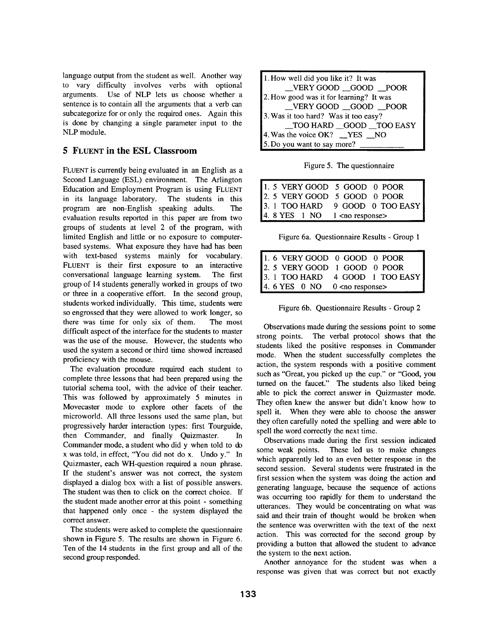language output from the student as well. Another way to vary difficulty involves verbs with optional arguments. Use of NLP lets us choose whether a sentence is to contain all the arguments that a verb can subcategorize for or only the required ones. Again this is done by changing a single parameter input to the NLP module.

### **5 FLUENT in the ESL Classroom**

FLUENT is currently being evaluated in an English as a Second Language (ESL) environment. The Arlington Education and Employment Program is using FLUENT in its language laboratory. The students in this program are non-English speaking adults. The evaluation results reported in this paper are from two groups of students at level 2 of the program, with limited English and little or no exposure to computerbased systems. What exposure they have had has been with text-based systems mainly for vocabulary. FLUENT is their first exposure to an interactive conversational language learning system. The first group of 14 students generally worked in groups of two or three in a cooperative effort. In the second group, students worked individually. This time, students were so engrossed that they were allowed to work longer, so there was time for only six of them. The most difficult aspect of the interface for the students to master was the use of the mouse. However, the students who used the system a second or third time showed increased proficiency with the mouse.

The evaluation procedure required each student to complete three lessons that had been prepared using the tutorial schema tool, with the advice of their teacher. This was followed by approximately 5 minutes in Movecaster mode to explore other facets of the microworld. All three lessons used the same plan, but progressively harder interaction types: first Tourguide, then Commander, and finally Quizmaster. In Commander mode, a student who did y when told to do x was told, in effect, "You did not do x. Undo y." In Quizmaster, each WH-question required a noun phrase. If the student's answer was not correct, the system displayed a dialog box with a list of possible answers. The student was then to click on the correct choice. If the student made another error at this point - something that happened only once - the system displayed the correct answer.

The students were asked to complete the questionnaire shown in Figure 5. The results are shown in Figure 6. Ten of the 14 students in the first group and all of the second group responded.

| 1. How well did you like it? It was     |  |  |
|-----------------------------------------|--|--|
| $\_\$ VERY GOOD $\_\$ GOOD $\_\$ POOR   |  |  |
| 2. How good was it for learning? It was |  |  |
| _VERY GOOD _GOOD _POOR                  |  |  |
| 3. Was it too hard? Was it too easy?    |  |  |
| _TOO HARD __GOOD __TOO EASY             |  |  |
| 4. Was the voice OK? __YES __NO         |  |  |
| 5. Do you want to say more?             |  |  |

Figure 5. The questionnaire

| 1. 5 VERY GOOD 5 GOOD 0 POOR<br>2. 5 VERY GOOD 5 GOOD 0 POOR<br>3. 1 TOO HARD 9 GOOD 0 TOO EASY<br>4. 8 YES 1 NO 1 <no response=""></no> |
|------------------------------------------------------------------------------------------------------------------------------------------|
|                                                                                                                                          |
|                                                                                                                                          |
|                                                                                                                                          |
|                                                                                                                                          |

Figure 6a. Questionnaire Results - Group 1

| 1. 6 VERY GOOD 0 GOOD 0 POOR<br>2. 5 VERY GOOD 1 GOOD 0 POOR<br>3. 1 TOO HARD 4 GOOD 1 TOO EASY<br>4. 6 YES 0 NO 0 <no response=""></no> |
|------------------------------------------------------------------------------------------------------------------------------------------|
|                                                                                                                                          |
|                                                                                                                                          |
|                                                                                                                                          |

Figure 6b. Questionnaire Results - Group 2

Observations made during the sessions point to some strong points. The verbal protocol shows that the students liked the positive responses in Commander mode. When the student successfully completes the action, the system responds with a positive comment such as "Great, you picked up the cup." or "Good, you turned on the faucet." The students also liked being able to pick the correct answer in Quizmaster mode. They often knew the answer but didn't know how to spell it. When they were able to choose the answer they often carefully noted the spelling and were able to spell the word correctly the next time.

Observations made during the first session indicated some weak points. These led us to make changes which apparently led to an even better response in the second session. Several students were frustrated in the first session when the system was doing the action and generating language, because the sequence of actions was occurring too rapidly for them to understand the utterances. They would be concentrating on what was said and their train of thought would be broken when the sentence was overwritten with the text of the next action. This was corrected for the second group by providing a button that allowed the student to advance the system to the next action.

Another annoyance for the student was when a response was given that was correct but not exactly